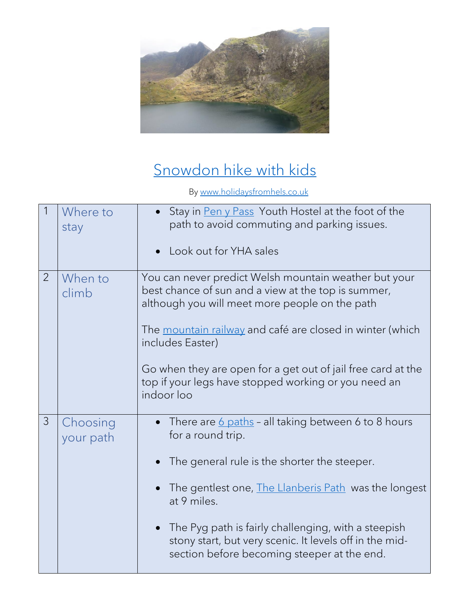

## [Snowdon hike with kids](https://www.holidaysfromhels.co.uk/2020/01/09/snowdon-hike-with-the-kids/)

By [www.holidaysfromhels.co.uk](http://www.holidaysfromhels.co.uk/)

|                | Where to<br>stay      | Stay in Pen y Pass Youth Hostel at the foot of the<br>path to avoid commuting and parking issues.<br>Look out for YHA sales                                                                                                                                                                                                                                                           |
|----------------|-----------------------|---------------------------------------------------------------------------------------------------------------------------------------------------------------------------------------------------------------------------------------------------------------------------------------------------------------------------------------------------------------------------------------|
| $\overline{2}$ | When to<br>climb      | You can never predict Welsh mountain weather but your<br>best chance of sun and a view at the top is summer,<br>although you will meet more people on the path<br>The mountain railway and café are closed in winter (which<br>includes Easter)<br>Go when they are open for a get out of jail free card at the<br>top if your legs have stopped working or you need an<br>indoor loo |
| $\mathcal{S}$  | Choosing<br>your path | There are 6 paths - all taking between 6 to 8 hours<br>for a round trip.<br>The general rule is the shorter the steeper.<br>The gentlest one, The Llanberis Path was the longest<br>at 9 miles.<br>The Pyg path is fairly challenging, with a steepish<br>stony start, but very scenic. It levels off in the mid-<br>section before becoming steeper at the end.                      |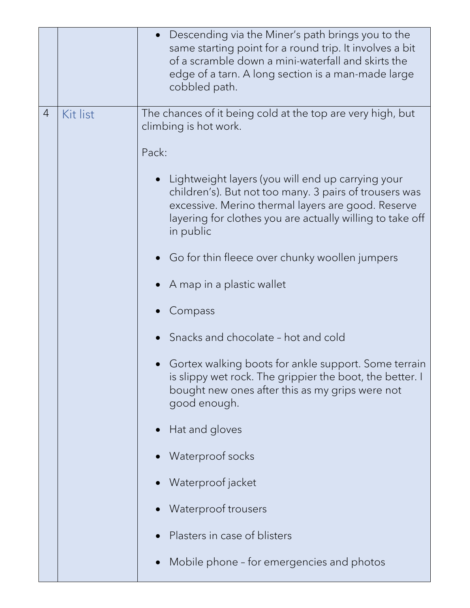|                |          | Descending via the Miner's path brings you to the<br>same starting point for a round trip. It involves a bit<br>of a scramble down a mini-waterfall and skirts the<br>edge of a tarn. A long section is a man-made large<br>cobbled path.   |
|----------------|----------|---------------------------------------------------------------------------------------------------------------------------------------------------------------------------------------------------------------------------------------------|
| $\overline{4}$ | Kit list | The chances of it being cold at the top are very high, but<br>climbing is hot work.                                                                                                                                                         |
|                |          | Pack:                                                                                                                                                                                                                                       |
|                |          | Lightweight layers (you will end up carrying your<br>children's). But not too many. 3 pairs of trousers was<br>excessive. Merino thermal layers are good. Reserve<br>layering for clothes you are actually willing to take off<br>in public |
|                |          | $\bullet$ Go for thin fleece over chunky woollen jumpers                                                                                                                                                                                    |
|                |          | A map in a plastic wallet                                                                                                                                                                                                                   |
|                |          | Compass                                                                                                                                                                                                                                     |
|                |          | Snacks and chocolate - hot and cold                                                                                                                                                                                                         |
|                |          | Gortex walking boots for ankle support. Some terrain<br>is slippy wet rock. The grippier the boot, the better. I<br>bought new ones after this as my grips were not<br>good enough.                                                         |
|                |          | Hat and gloves                                                                                                                                                                                                                              |
|                |          | Waterproof socks                                                                                                                                                                                                                            |
|                |          | Waterproof jacket                                                                                                                                                                                                                           |
|                |          | Waterproof trousers                                                                                                                                                                                                                         |
|                |          | Plasters in case of blisters                                                                                                                                                                                                                |
|                |          | Mobile phone - for emergencies and photos                                                                                                                                                                                                   |